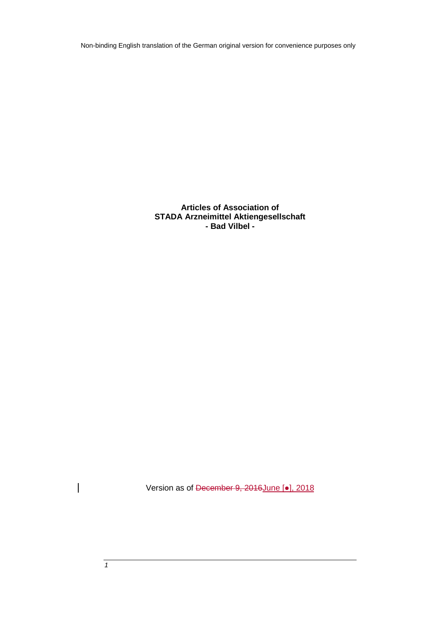Non-binding English translation of the German original version for convenience purposes only

**Articles of Association of STADA Arzneimittel Aktiengesellschaft - Bad Vilbel -**

Version as of December 9, 2016June [.], 2018

 $\overline{\phantom{a}}$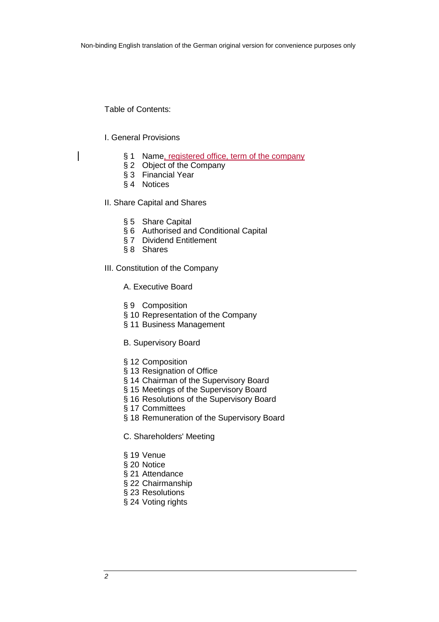Table of Contents:

### I. General Provisions

- § 1 Name, registered office, term of the company
- § 2 Object of the Company
- § 3 Financial Year
- § 4 Notices

II. Share Capital and Shares

- § 5 Share Capital
- § 6 Authorised and Conditional Capital
- § 7 Dividend Entitlement
- § 8 Shares

III. Constitution of the Company

A. Executive Board

- § 9 Composition
- § 10 Representation of the Company
- § 11 Business Management
- B. Supervisory Board
- § 12 Composition
- § 13 Resignation of Office
- § 14 Chairman of the Supervisory Board
- § 15 Meetings of the Supervisory Board
- § 16 Resolutions of the Supervisory Board
- § 17 Committees
- § 18 Remuneration of the Supervisory Board
- C. Shareholders' Meeting
- § 19 Venue
- § 20 Notice
- § 21 Attendance
- § 22 Chairmanship
- § 23 Resolutions
- § 24 Voting rights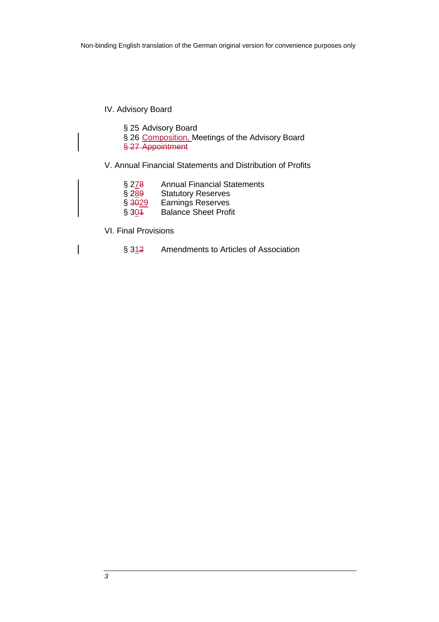# IV. Advisory Board

- § 25 Advisory Board
- § 26 Composition, Meetings of the Advisory Board
- § 27 Appointment

# V. Annual Financial Statements and Distribution of Profits

- § 2<u>7</u>8 Annual Financial Statements<br>§ 2<u>8</u>9 Statutory Reserves<br>§ <del>3029</del> Earnings Reserves
- Statutory Reserves
- Earnings Reserves
- § 304 Balance Sheet Profit
- VI. Final Provisions
	- § 312 Amendments to Articles of Association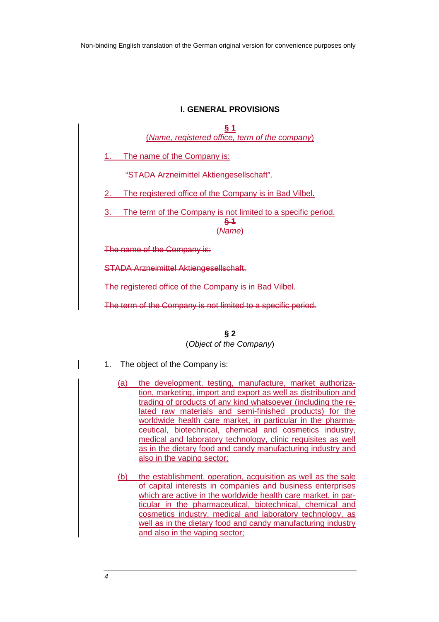# **I. GENERAL PROVISIONS**

| § 1<br>(Name, registered office, term of the company)                                      |
|--------------------------------------------------------------------------------------------|
| The name of the Company is:                                                                |
| "STADA Arzneimittel Aktiengesellschaft".                                                   |
| The registered office of the Company is in Bad Vilbel.<br>2.                               |
| The term of the Company is not limited to a specific period.<br>3.<br><u>§ 1</u><br>(Name) |
| The name of the Company is:                                                                |
| <b>STADA Arzneimittel Aktiengesellschaft.</b>                                              |
| The registered office of the Company is in Bad Vilbel                                      |

The term of the Company is not limited to a specific period.

**§ 2**  (Object of the Company)

- 1. The object of the Company is:
	- (a) the development, testing, manufacture, market authorization, marketing, import and export as well as distribution and trading of products of any kind whatsoever (including the related raw materials and semi-finished products) for the worldwide health care market, in particular in the pharmaceutical, biotechnical, chemical and cosmetics industry, medical and laboratory technology, clinic requisites as well as in the dietary food and candy manufacturing industry and also in the vaping sector;
	- (b) the establishment, operation, acquisition as well as the sale of capital interests in companies and business enterprises which are active in the worldwide health care market, in particular in the pharmaceutical, biotechnical, chemical and cosmetics industry, medical and laboratory technology, as well as in the dietary food and candy manufacturing industry and also in the vaping sector;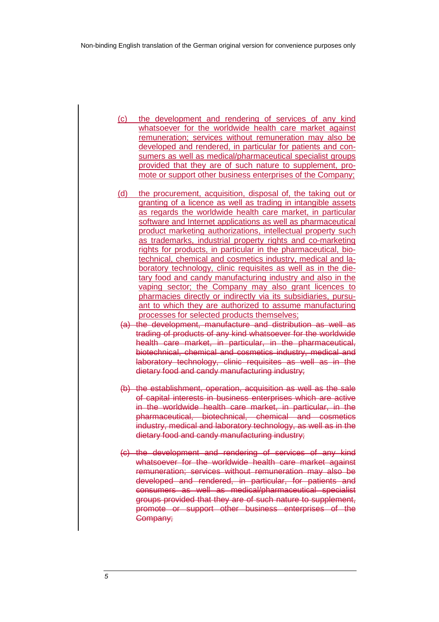(c) the development and rendering of services of any kind whatsoever for the worldwide health care market against remuneration; services without remuneration may also be developed and rendered, in particular for patients and consumers as well as medical/pharmaceutical specialist groups provided that they are of such nature to supplement, promote or support other business enterprises of the Company;

- (d) the procurement, acquisition, disposal of, the taking out or granting of a licence as well as trading in intangible assets as regards the worldwide health care market, in particular software and Internet applications as well as pharmaceutical product marketing authorizations, intellectual property such as trademarks, industrial property rights and co-marketing rights for products, in particular in the pharmaceutical, biotechnical, chemical and cosmetics industry, medical and laboratory technology, clinic requisites as well as in the dietary food and candy manufacturing industry and also in the vaping sector; the Company may also grant licences to pharmacies directly or indirectly via its subsidiaries, pursuant to which they are authorized to assume manufacturing processes for selected products themselves;
- (a) the development, manufacture and distribution as well as trading of products of any kind whatsoever for the worldwide health care market, in particular, in the pharmaceutical, biotechnical, chemical and cosmetics industry, medical and laboratory technology, clinic requisites as well as in the dietary food and candy manufacturing industry;
- (b) the establishment, operation, acquisition as well as the sale of capital interests in business enterprises which are active in the worldwide health care market, in particular, in the pharmaceutical, biotechnical, chemical and cosmetics industry, medical and laboratory technology, as well as in the dietary food and candy manufacturing industry;
- (c) the development and rendering of services of any kind whatsoever for the worldwide health care market against remuneration; services without remuneration may also be developed and rendered, in particular, for patients and consumers as well as medical/pharmaceutical specialist groups provided that they are of such nature to supplement, promote or support other business enterprises of the Company;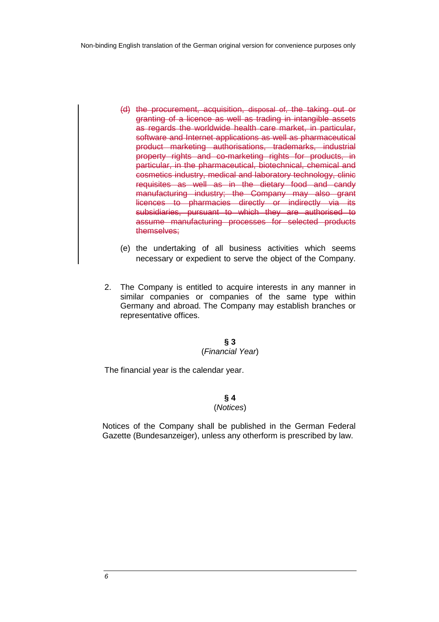- (d) the procurement, acquisition, disposal of, the taking out or granting of a licence as well as trading in intangible assets as regards the worldwide health care market, in particular, software and Internet applications as well as pharmaceutical product marketing authorisations, trademarks, industrial property rights and co-marketing rights for products, in particular, in the pharmaceutical, biotechnical, chemical and cosmetics industry, medical and laboratory technology, clinic requisites as well as in the dietary food and candy manufacturing industry; the Company may also grant licences to pharmacies directly or indirectly via its subsidiaries, pursuant to which they are authorised to assume manufacturing processes for selected products themselves;
- (e) the undertaking of all business activities which seems necessary or expedient to serve the object of the Company.
- 2. The Company is entitled to acquire interests in any manner in similar companies or companies of the same type within Germany and abroad. The Company may establish branches or representative offices.

#### **§ 3** (Financial Year)

The financial year is the calendar year.

# **§ 4**

### (Notices)

Notices of the Company shall be published in the German Federal Gazette (Bundesanzeiger), unless any otherform is prescribed by law.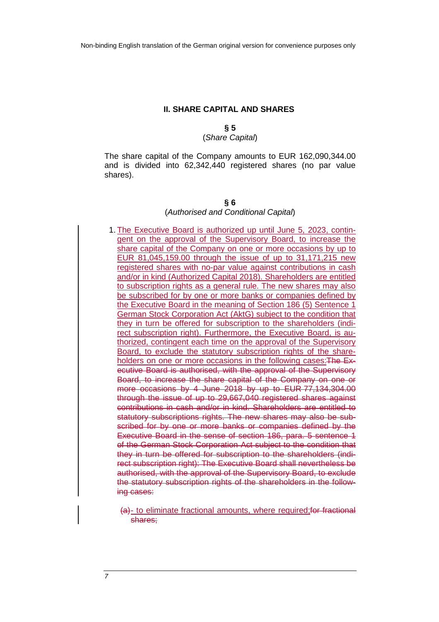# **II. SHARE CAPITAL AND SHARES**

#### **§ 5** (Share Capital)

# The share capital of the Company amounts to EUR 162,090,344.00 and is divided into 62,342,440 registered shares (no par value shares).

#### **§ 6**

#### (Authorised and Conditional Capital)

1. The Executive Board is authorized up until June 5, 2023, contingent on the approval of the Supervisory Board, to increase the share capital of the Company on one or more occasions by up to EUR 81,045,159.00 through the issue of up to 31,171,215 new registered shares with no-par value against contributions in cash and/or in kind (Authorized Capital 2018). Shareholders are entitled to subscription rights as a general rule. The new shares may also be subscribed for by one or more banks or companies defined by the Executive Board in the meaning of Section 186 (5) Sentence 1 German Stock Corporation Act (AktG) subject to the condition that they in turn be offered for subscription to the shareholders (indirect subscription right). Furthermore, the Executive Board, is authorized, contingent each time on the approval of the Supervisory Board, to exclude the statutory subscription rights of the shareholders on one or more occasions in the following cases: The Executive Board is authorised, with the approval of the Supervisory Board, to increase the share capital of the Company on one or more occasions by 4 June 2018 by up to EUR 77,134,304.00 through the issue of up to 29,667,040 registered shares against contributions in cash and/or in kind. Shareholders are entitled to statutory subscriptions rights. The new shares may also be subscribed for by one or more banks or companies defined by the Executive Board in the sense of section 186, para. 5 sentence 1 of the German Stock Corporation Act subject to the condition that they in turn be offered for subscription to the shareholders (indirect subscription right): The Executive Board shall nevertheless be authorised, with the approval of the Supervisory Board, to exclude the statutory subscription rights of the shareholders in the following cases:

(a)- to eliminate fractional amounts, where required;for fractional shares;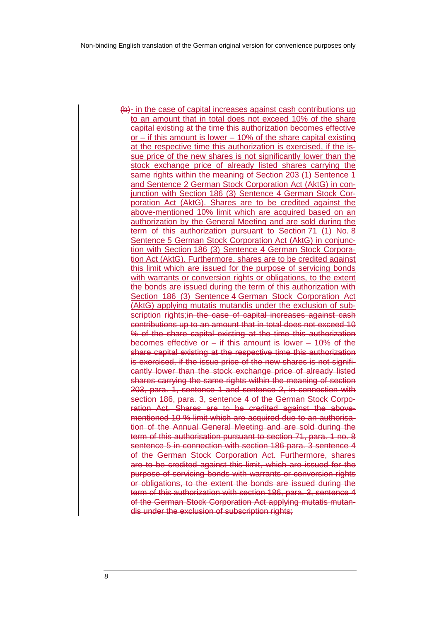(b)- in the case of capital increases against cash contributions up to an amount that in total does not exceed 10% of the share capital existing at the time this authorization becomes effective or – if this amount is lower – 10% of the share capital existing at the respective time this authorization is exercised, if the issue price of the new shares is not significantly lower than the stock exchange price of already listed shares carrying the same rights within the meaning of Section 203 (1) Sentence 1 and Sentence 2 German Stock Corporation Act (AktG) in conjunction with Section 186 (3) Sentence 4 German Stock Corporation Act (AktG). Shares are to be credited against the above-mentioned 10% limit which are acquired based on an authorization by the General Meeting and are sold during the term of this authorization pursuant to Section 71 (1) No. 8 Sentence 5 German Stock Corporation Act (AktG) in conjunction with Section 186 (3) Sentence 4 German Stock Corporation Act (AktG). Furthermore, shares are to be credited against this limit which are issued for the purpose of servicing bonds with warrants or conversion rights or obligations, to the extent the bonds are issued during the term of this authorization with Section 186 (3) Sentence 4 German Stock Corporation Act (AktG) applying mutatis mutandis under the exclusion of subscription rights; in the case of capital increases against cash contributions up to an amount that in total does not exceed 10 % of the share capital existing at the time this authorization becomes effective or – if this amount is lower – 10% of the share capital existing at the respective time this authorization is exercised, if the issue price of the new shares is not significantly lower than the stock exchange price of already listed shares carrying the same rights within the meaning of section 203, para. 1, sentence 1 and sentence 2, in connection with section 186, para. 3, sentence 4 of the German Stock Corporation Act. Shares are to be credited against the abovementioned 10 % limit which are acquired due to an authorisation of the Annual General Meeting and are sold during the term of this authorisation pursuant to section 71, para. 1 no. 8 sentence 5 in connection with section 186 para. 3 sentence 4 of the German Stock Corporation Act. Furthermore, shares are to be credited against this limit, which are issued for the purpose of servicing bonds with warrants or conversion rights or obligations, to the extent the bonds are issued during the term of this authorization with section 186, para. 3, sentence 4 of the German Stock Corporation Act applying mutatis mutandis under the exclusion of subscription rights;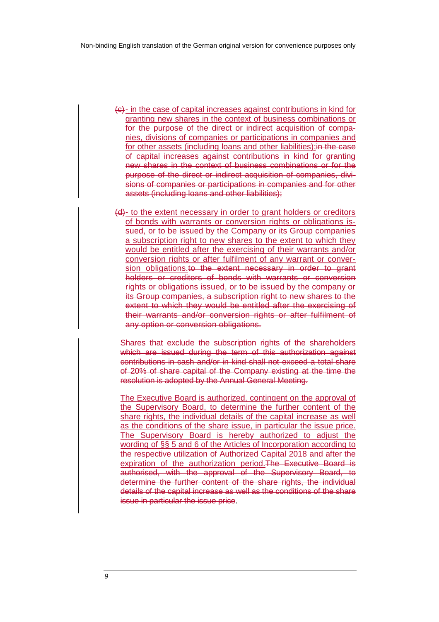- (c)- in the case of capital increases against contributions in kind for granting new shares in the context of business combinations or for the purpose of the direct or indirect acquisition of companies, divisions of companies or participations in companies and for other assets (including loans and other liabilities); in the case of capital increases against contributions in kind for granting new shares in the context of business combinations or for the purpose of the direct or indirect acquisition of companies, divisions of companies or participations in companies and for other assets (including loans and other liabilities);
- (d)- to the extent necessary in order to grant holders or creditors of bonds with warrants or conversion rights or obligations issued, or to be issued by the Company or its Group companies a subscription right to new shares to the extent to which they would be entitled after the exercising of their warrants and/or conversion rights or after fulfilment of any warrant or conversion obligations.to the extent necessary in order to grant holders or creditors of bonds with warrants or conversion rights or obligations issued, or to be issued by the company or its Group companies, a subscription right to new shares to the extent to which they would be entitled after the exercising of their warrants and/or conversion rights or after fulfilment of any option or conversion obligations.

Shares that exclude the subscription rights of the shareholders which are issued during the term of this authorization against contributions in cash and/or in kind shall not exceed a total share of 20% of share capital of the Company existing at the time the resolution is adopted by the Annual General Meeting.

The Executive Board is authorized, contingent on the approval of the Supervisory Board, to determine the further content of the share rights, the individual details of the capital increase as well as the conditions of the share issue, in particular the issue price. The Supervisory Board is hereby authorized to adjust the wording of §§ 5 and 6 of the Articles of Incorporation according to the respective utilization of Authorized Capital 2018 and after the expiration of the authorization period.The Executive Board is authorised, with the approval of the Supervisory Board, to determine the further content of the share rights, the individual details of the capital increase as well as the conditions of the share issue in particular the issue price.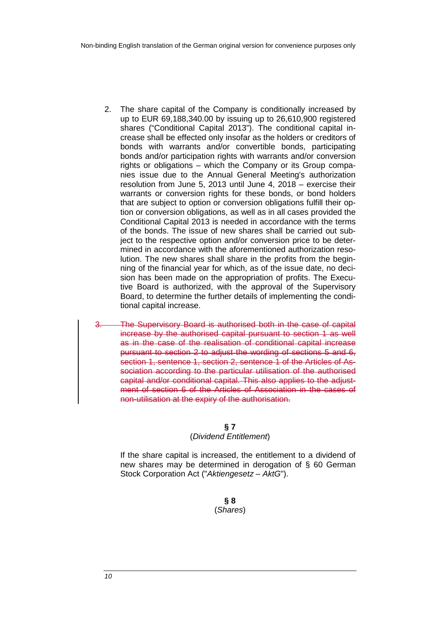- 2. The share capital of the Company is conditionally increased by up to EUR 69,188,340.00 by issuing up to 26,610,900 registered shares ("Conditional Capital 2013"). The conditional capital increase shall be effected only insofar as the holders or creditors of bonds with warrants and/or convertible bonds, participating bonds and/or participation rights with warrants and/or conversion rights or obligations – which the Company or its Group companies issue due to the Annual General Meeting's authorization resolution from June 5, 2013 until June 4, 2018 – exercise their warrants or conversion rights for these bonds, or bond holders that are subject to option or conversion obligations fulfill their option or conversion obligations, as well as in all cases provided the Conditional Capital 2013 is needed in accordance with the terms of the bonds. The issue of new shares shall be carried out subject to the respective option and/or conversion price to be determined in accordance with the aforementioned authorization resolution. The new shares shall share in the profits from the beginning of the financial year for which, as of the issue date, no decision has been made on the appropriation of profits. The Executive Board is authorized, with the approval of the Supervisory Board, to determine the further details of implementing the conditional capital increase.
- The Supervisory Board is authorised both in the case of capital increase by the authorised capital pursuant to section 1 as well as in the case of the realisation of conditional capital increase pursuant to section 2 to adjust the wording of sections 5 and 6, section 1, sentence 1, section 2, sentence 1 of the Articles of Association according to the particular utilisation of the authorised capital and/or conditional capital. This also applies to the adjustment of section 6 of the Articles of Association in the cases of non-utilisation at the expiry of the authorisation.

#### **§ 7**

#### (Dividend Entitlement)

If the share capital is increased, the entitlement to a dividend of new shares may be determined in derogation of § 60 German Stock Corporation Act ("Aktiengesetz – AktG").

> **§ 8** (Shares)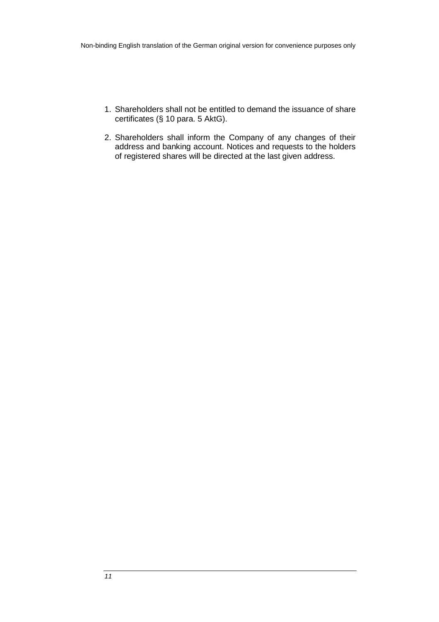- 1. Shareholders shall not be entitled to demand the issuance of share certificates (§ 10 para. 5 AktG).
- 2. Shareholders shall inform the Company of any changes of their address and banking account. Notices and requests to the holders of registered shares will be directed at the last given address.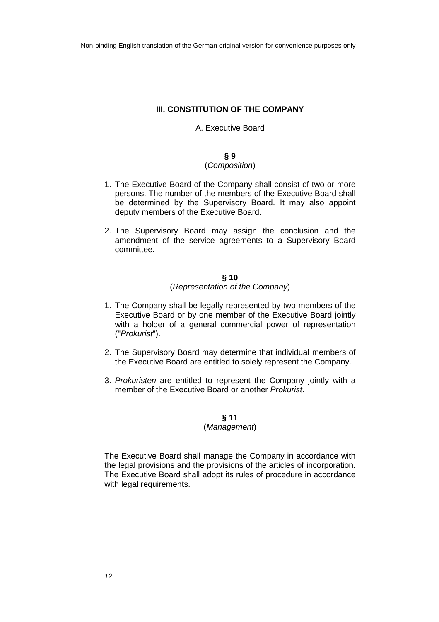# **III. CONSTITUTION OF THE COMPANY**

### A. Executive Board

#### **§ 9**

# (Composition)

- 1. The Executive Board of the Company shall consist of two or more persons. The number of the members of the Executive Board shall be determined by the Supervisory Board. It may also appoint deputy members of the Executive Board.
- 2. The Supervisory Board may assign the conclusion and the amendment of the service agreements to a Supervisory Board committee.

#### **§ 10** (Representation of the Company)

- 1. The Company shall be legally represented by two members of the Executive Board or by one member of the Executive Board jointly with a holder of a general commercial power of representation ("Prokurist").
- 2. The Supervisory Board may determine that individual members of the Executive Board are entitled to solely represent the Company.
- 3. Prokuristen are entitled to represent the Company jointly with a member of the Executive Board or another Prokurist.

# **§ 11**

# (Management)

The Executive Board shall manage the Company in accordance with the legal provisions and the provisions of the articles of incorporation. The Executive Board shall adopt its rules of procedure in accordance with legal requirements.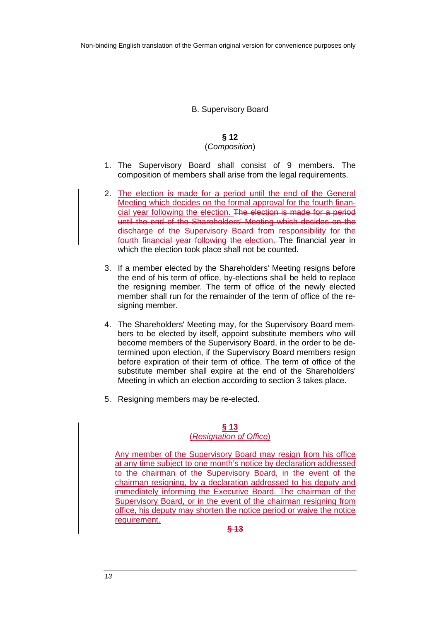# B. Supervisory Board

# **§ 12**

# (Composition)

- 1. The Supervisory Board shall consist of 9 members. The composition of members shall arise from the legal requirements.
- 2. The election is made for a period until the end of the General Meeting which decides on the formal approval for the fourth financial year following the election. The election is made for a period until the end of the Shareholders' Meeting which decides on the discharge of the Supervisory Board from responsibility for the fourth financial year following the election. The financial year in which the election took place shall not be counted.
- 3. If a member elected by the Shareholders' Meeting resigns before the end of his term of office, by-elections shall be held to replace the resigning member. The term of office of the newly elected member shall run for the remainder of the term of office of the resigning member.
- 4. The Shareholders' Meeting may, for the Supervisory Board members to be elected by itself, appoint substitute members who will become members of the Supervisory Board, in the order to be determined upon election, if the Supervisory Board members resign before expiration of their term of office. The term of office of the substitute member shall expire at the end of the Shareholders' Meeting in which an election according to section 3 takes place.
- 5. Resigning members may be re-elected.

#### **§ 13**  (Resignation of Office)

Any member of the Supervisory Board may resign from his office at any time subject to one month's notice by declaration addressed to the chairman of the Supervisory Board, in the event of the chairman resigning, by a declaration addressed to his deputy and immediately informing the Executive Board. The chairman of the Supervisory Board, or in the event of the chairman resigning from office, his deputy may shorten the notice period or waive the notice requirement.

**§ 13**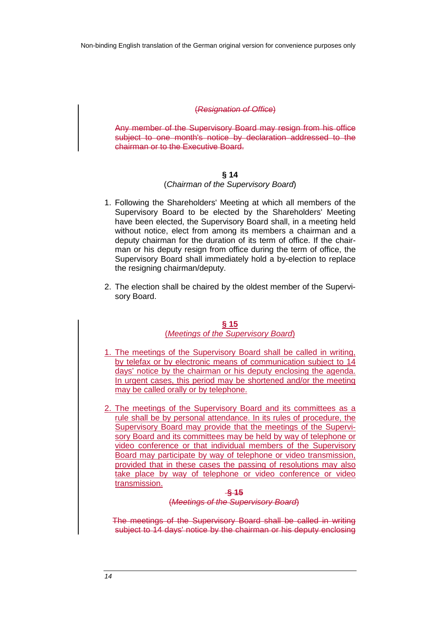#### (Resignation of Office)

Any member of the Supervisory Board may resign from his office subject to one month's notice by declaration addressed to the chairman or to the Executive Board.

### **§ 14**

#### (Chairman of the Supervisory Board)

- 1. Following the Shareholders' Meeting at which all members of the Supervisory Board to be elected by the Shareholders' Meeting have been elected, the Supervisory Board shall, in a meeting held without notice, elect from among its members a chairman and a deputy chairman for the duration of its term of office. If the chairman or his deputy resign from office during the term of office, the Supervisory Board shall immediately hold a by-election to replace the resigning chairman/deputy.
- 2. The election shall be chaired by the oldest member of the Supervisory Board.

#### **§ 15**  (Meetings of the Supervisory Board)

- 1. The meetings of the Supervisory Board shall be called in writing, by telefax or by electronic means of communication subject to 14 days' notice by the chairman or his deputy enclosing the agenda. In urgent cases, this period may be shortened and/or the meeting may be called orally or by telephone.
- 2. The meetings of the Supervisory Board and its committees as a rule shall be by personal attendance. In its rules of procedure, the Supervisory Board may provide that the meetings of the Supervisory Board and its committees may be held by way of telephone or video conference or that individual members of the Supervisory Board may participate by way of telephone or video transmission, provided that in these cases the passing of resolutions may also take place by way of telephone or video conference or video transmission.

#### **§ 15** (Meetings of the Supervisory Board)

The meetings of the Supervisory Board shall be called in writing subject to 14 days' notice by the chairman or his deputy enclosing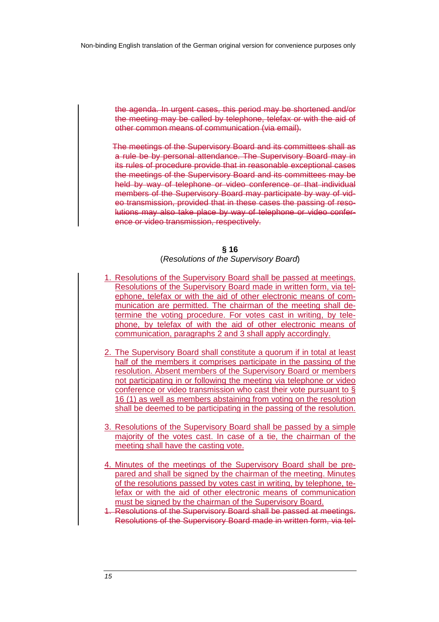the agenda. In urgent cases, this period may be shortened and/or the meeting may be called by telephone, telefax or with the aid of other common means of communication (via email).

The meetings of the Supervisory Board and its committees shall as a rule be by personal attendance. The Supervisory Board may in its rules of procedure provide that in reasonable exceptional cases the meetings of the Supervisory Board and its committees may be held by way of telephone or video conference or that individual members of the Supervisory Board may participate by way of video transmission, provided that in these cases the passing of resolutions may also take place by way of telephone or video conference or video transmission, respectively.

#### **§ 16**

#### (Resolutions of the Supervisory Board)

- 1. Resolutions of the Supervisory Board shall be passed at meetings. Resolutions of the Supervisory Board made in written form, via telephone, telefax or with the aid of other electronic means of communication are permitted. The chairman of the meeting shall determine the voting procedure. For votes cast in writing, by telephone, by telefax of with the aid of other electronic means of communication, paragraphs 2 and 3 shall apply accordingly.
- 2. The Supervisory Board shall constitute a quorum if in total at least half of the members it comprises participate in the passing of the resolution. Absent members of the Supervisory Board or members not participating in or following the meeting via telephone or video conference or video transmission who cast their vote pursuant to § 16 (1) as well as members abstaining from voting on the resolution shall be deemed to be participating in the passing of the resolution.
- 3. Resolutions of the Supervisory Board shall be passed by a simple majority of the votes cast. In case of a tie, the chairman of the meeting shall have the casting vote.
- 4. Minutes of the meetings of the Supervisory Board shall be prepared and shall be signed by the chairman of the meeting. Minutes of the resolutions passed by votes cast in writing, by telephone, telefax or with the aid of other electronic means of communication must be signed by the chairman of the Supervisory Board.
- 1. Resolutions of the Supervisory Board shall be passed at meetings. Resolutions of the Supervisory Board made in written form, via tel-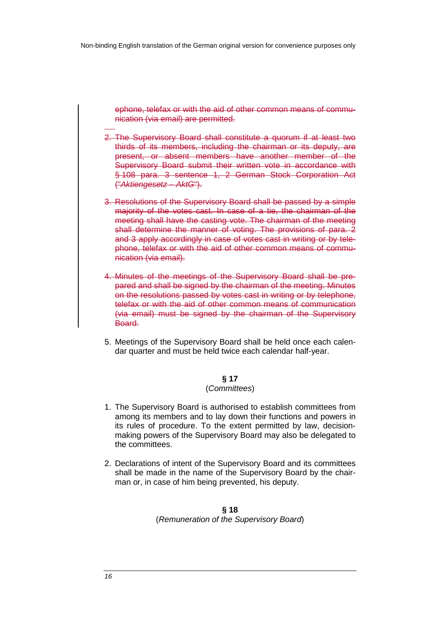ephone, telefax or with the aid of other common means of communication (via email) are permitted.

- 2. The Supervisory Board shall constitute a quorum if at least two thirds of its members, including the chairman or its deputy, are present, or absent members have another member of the Supervisory Board submit their written vote in accordance with § 108 para. 3 sentence 1, 2 German Stock Corporation Act ("Aktiengesetz – AktG").
- 3. Resolutions of the Supervisory Board shall be passed by a simple majority of the votes cast. In case of a tie, the chairman of the meeting shall have the casting vote. The chairman of the meeting shall determine the manner of voting. The provisions of para. 2 and 3 apply accordingly in case of votes cast in writing or by telephone, telefax or with the aid of other common means of communication (via email).
- 4. Minutes of the meetings of the Supervisory Board shall be prepared and shall be signed by the chairman of the meeting. Minutes on the resolutions passed by votes cast in writing or by telephone, telefax or with the aid of other common means of communication (via email) must be signed by the chairman of the Supervisory Board.
- 5. Meetings of the Supervisory Board shall be held once each calendar quarter and must be held twice each calendar half-year.

#### **§ 17**

### (Committees)

- 1. The Supervisory Board is authorised to establish committees from among its members and to lay down their functions and powers in its rules of procedure. To the extent permitted by law, decisionmaking powers of the Supervisory Board may also be delegated to the committees.
- 2. Declarations of intent of the Supervisory Board and its committees shall be made in the name of the Supervisory Board by the chairman or, in case of him being prevented, his deputy.

# **§ 18** (Remuneration of the Supervisory Board)

-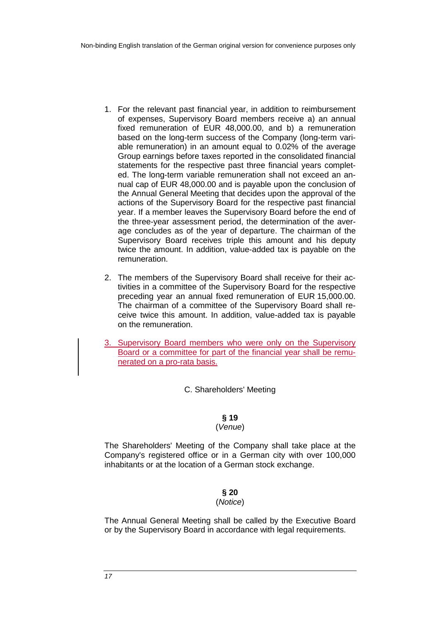- 1. For the relevant past financial year, in addition to reimbursement of expenses, Supervisory Board members receive a) an annual fixed remuneration of EUR 48,000.00, and b) a remuneration based on the long-term success of the Company (long-term variable remuneration) in an amount equal to 0.02% of the average Group earnings before taxes reported in the consolidated financial statements for the respective past three financial years completed. The long-term variable remuneration shall not exceed an annual cap of EUR 48,000.00 and is payable upon the conclusion of the Annual General Meeting that decides upon the approval of the actions of the Supervisory Board for the respective past financial year. If a member leaves the Supervisory Board before the end of the three-year assessment period, the determination of the average concludes as of the year of departure. The chairman of the Supervisory Board receives triple this amount and his deputy twice the amount. In addition, value-added tax is payable on the remuneration.
- 2. The members of the Supervisory Board shall receive for their activities in a committee of the Supervisory Board for the respective preceding year an annual fixed remuneration of EUR 15,000.00. The chairman of a committee of the Supervisory Board shall receive twice this amount. In addition, value-added tax is payable on the remuneration.
- 3. Supervisory Board members who were only on the Supervisory Board or a committee for part of the financial year shall be remunerated on a pro-rata basis.

C. Shareholders' Meeting

# **§ 19**

# (Venue)

The Shareholders' Meeting of the Company shall take place at the Company's registered office or in a German city with over 100,000 inhabitants or at the location of a German stock exchange.

# **§ 20**

# (Notice)

The Annual General Meeting shall be called by the Executive Board or by the Supervisory Board in accordance with legal requirements.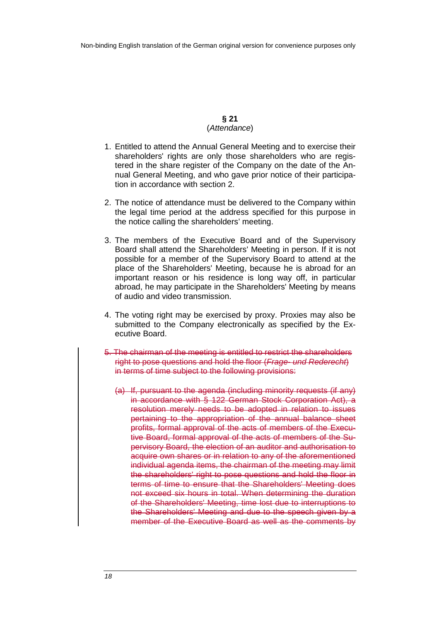#### **§ 21** (Attendance)

- 1. Entitled to attend the Annual General Meeting and to exercise their shareholders' rights are only those shareholders who are registered in the share register of the Company on the date of the Annual General Meeting, and who gave prior notice of their participation in accordance with section 2.
- 2. The notice of attendance must be delivered to the Company within the legal time period at the address specified for this purpose in the notice calling the shareholders' meeting.
- 3. The members of the Executive Board and of the Supervisory Board shall attend the Shareholders' Meeting in person. If it is not possible for a member of the Supervisory Board to attend at the place of the Shareholders' Meeting, because he is abroad for an important reason or his residence is long way off, in particular abroad, he may participate in the Shareholders' Meeting by means of audio and video transmission.
- 4. The voting right may be exercised by proxy. Proxies may also be submitted to the Company electronically as specified by the Executive Board.
- 5. The chairman of the meeting is entitled to restrict the shareholders right to pose questions and hold the floor (Frage- und Rederecht) in terms of time subject to the following provisions:
	- (a) If, pursuant to the agenda (including minority requests (if any) in accordance with § 122 German Stock Corporation Act), a resolution merely needs to be adopted in relation to issues pertaining to the appropriation of the annual balance sheet profits, formal approval of the acts of members of the Executive Board, formal approval of the acts of members of the Supervisory Board, the election of an auditor and authorisation to acquire own shares or in relation to any of the aforementioned individual agenda items, the chairman of the meeting may limit the shareholders' right to pose questions and hold the floor in terms of time to ensure that the Shareholders' Meeting does not exceed six hours in total. When determining the duration of the Shareholders' Meeting, time lost due to interruptions to the Shareholders' Meeting and due to the speech given by a member of the Executive Board as well as the comments by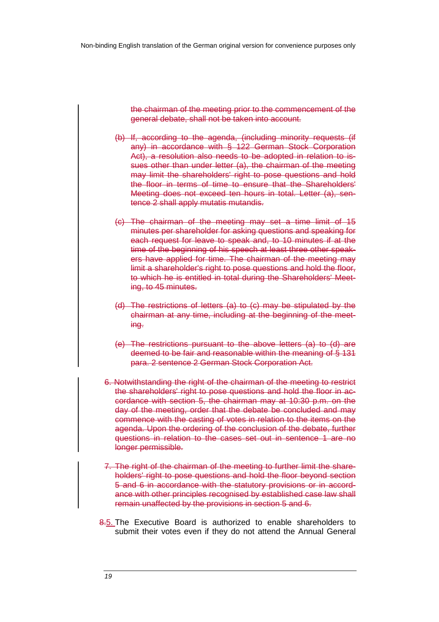the chairman of the meeting prior to the commencement of the general debate, shall not be taken into account.

- (b) If, according to the agenda, (including minority requests (if any) in accordance with § 122 German Stock Corporation Act), a resolution also needs to be adopted in relation to issues other than under letter (a), the chairman of the meeting may limit the shareholders' right to pose questions and hold the floor in terms of time to ensure that the Shareholders' Meeting does not exceed ten hours in total. Letter (a), sentence 2 shall apply mutatis mutandis.
- (c) The chairman of the meeting may set a time limit of 15 minutes per shareholder for asking questions and speaking for each request for leave to speak and, to 10 minutes if at the time of the beginning of his speech at least three other speakers have applied for time. The chairman of the meeting may limit a shareholder's right to pose questions and hold the floor, to which he is entitled in total during the Shareholders' Meeting, to 45 minutes.
- (d) The restrictions of letters (a) to (c) may be stipulated by the chairman at any time, including at the beginning of the meeting.
- (e) The restrictions pursuant to the above letters (a) to (d) are deemed to be fair and reasonable within the meaning of § 131 para. 2 sentence 2 German Stock Corporation Act.
- 6. Notwithstanding the right of the chairman of the meeting to restrict the shareholders' right to pose questions and hold the floor in accordance with section 5, the chairman may at 10:30 p.m. on the day of the meeting, order that the debate be concluded and may commence with the casting of votes in relation to the items on the agenda. Upon the ordering of the conclusion of the debate, further questions in relation to the cases set out in sentence 1 are no longer permissible.
- 7. The right of the chairman of the meeting to further limit the shareholders' right to pose questions and hold the floor beyond section 5 and 6 in accordance with the statutory provisions or in accordance with other principles recognised by established case law shall remain unaffected by the provisions in section 5 and 6.
- 8.5. The Executive Board is authorized to enable shareholders to submit their votes even if they do not attend the Annual General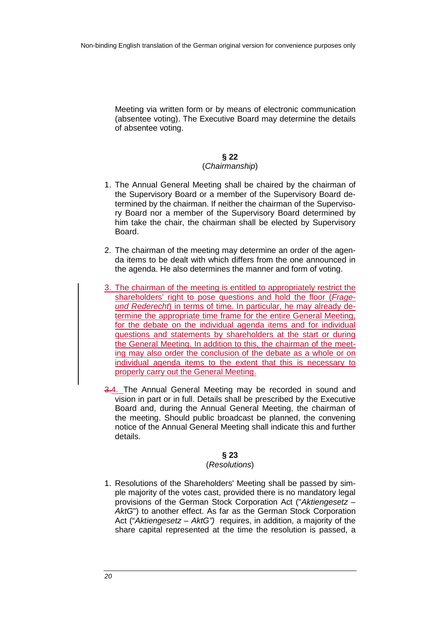Meeting via written form or by means of electronic communication (absentee voting). The Executive Board may determine the details of absentee voting.

# **§ 22**

# (Chairmanship)

- 1. The Annual General Meeting shall be chaired by the chairman of the Supervisory Board or a member of the Supervisory Board determined by the chairman. If neither the chairman of the Supervisory Board nor a member of the Supervisory Board determined by him take the chair, the chairman shall be elected by Supervisory Board.
- 2. The chairman of the meeting may determine an order of the agenda items to be dealt with which differs from the one announced in the agenda. He also determines the manner and form of voting.
- 3. The chairman of the meeting is entitled to appropriately restrict the shareholders' right to pose questions and hold the floor (Frageund Rederecht) in terms of time. In particular, he may already determine the appropriate time frame for the entire General Meeting, for the debate on the individual agenda items and for individual questions and statements by shareholders at the start or during the General Meeting. In addition to this, the chairman of the meeting may also order the conclusion of the debate as a whole or on individual agenda items to the extent that this is necessary to properly carry out the General Meeting.
- 3.4. The Annual General Meeting may be recorded in sound and vision in part or in full. Details shall be prescribed by the Executive Board and, during the Annual General Meeting, the chairman of the meeting. Should public broadcast be planned, the convening notice of the Annual General Meeting shall indicate this and further details.

# **§ 23**

# (Resolutions)

1. Resolutions of the Shareholders' Meeting shall be passed by simple majority of the votes cast, provided there is no mandatory legal provisions of the German Stock Corporation Act ("Aktiengesetz – AktG") to another effect. As far as the German Stock Corporation Act ("Aktiengesetz - AktG") requires, in addition, a majority of the share capital represented at the time the resolution is passed, a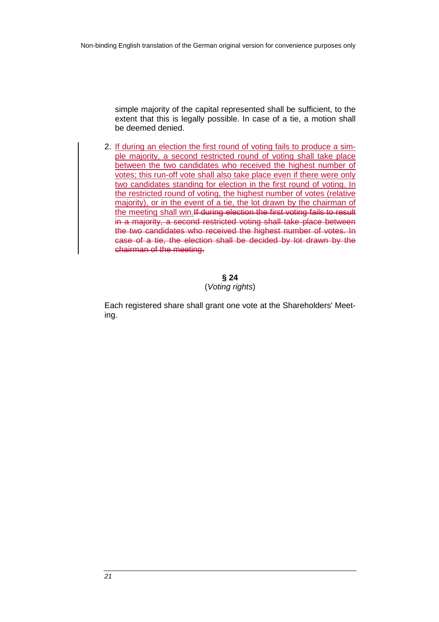simple majority of the capital represented shall be sufficient, to the extent that this is legally possible. In case of a tie, a motion shall be deemed denied.

2. If during an election the first round of voting fails to produce a simple majority, a second restricted round of voting shall take place between the two candidates who received the highest number of votes; this run-off vote shall also take place even if there were only two candidates standing for election in the first round of voting. In the restricted round of voting, the highest number of votes (relative majority), or in the event of a tie, the lot drawn by the chairman of the meeting shall win.If during election the first voting fails to result in a majority, a second restricted voting shall take place between the two candidates who received the highest number of votes. In case of a tie, the election shall be decided by lot drawn by the chairman of the meeting.

> **§ 24** (Voting rights)

Each registered share shall grant one vote at the Shareholders' Meeting.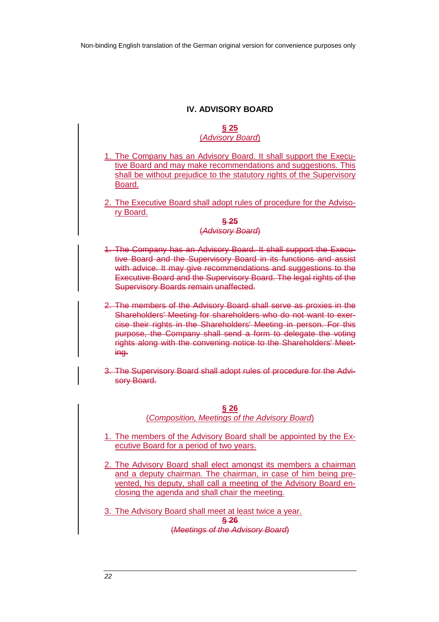# **IV. ADVISORY BOARD**

### **§ 25**  (Advisory Board)

- 1. The Company has an Advisory Board. It shall support the Executive Board and may make recommendations and suggestions. This shall be without prejudice to the statutory rights of the Supervisory Board.
- 2. The Executive Board shall adopt rules of procedure for the Advisory Board.

#### **§ 25** (Advisory Board)

- 1. The Company has an Advisory Board. It shall support the Executive Board and the Supervisory Board in its functions and assist with advice. It may give recommendations and suggestions to the Executive Board and the Supervisory Board. The legal rights of the Supervisory Boards remain unaffected.
- 2. The members of the Advisory Board shall serve as proxies in the Shareholders' Meeting for shareholders who do not want to exercise their rights in the Shareholders' Meeting in person. For this purpose, the Company shall send a form to delegate the voting rights along with the convening notice to the Shareholders' Meeting.
- 3. The Supervisory Board shall adopt rules of procedure for the Advisory Board.

### **§ 26**  (Composition, Meetings of the Advisory Board)

- 1. The members of the Advisory Board shall be appointed by the Executive Board for a period of two years.
- 2. The Advisory Board shall elect amongst its members a chairman and a deputy chairman. The chairman, in case of him being prevented, his deputy, shall call a meeting of the Advisory Board enclosing the agenda and shall chair the meeting.
- 3. The Advisory Board shall meet at least twice a year. **§ 26** (Meetings of the Advisory Board)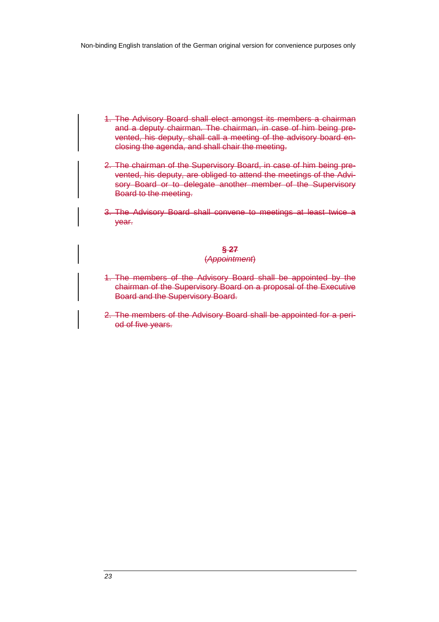- 1. The Advisory Board shall elect amongst its members a chairman and a deputy chairman. The chairman, in case of him being prevented, his deputy, shall call a meeting of the advisory board enclosing the agenda, and shall chair the meeting.
- 2. The chairman of the Supervisory Board, in case of him being prevented, his deputy, are obliged to attend the meetings of the Advisory Board or to delegate another member of the Supervisory Board to the meeting.
- 3. The Advisory Board shall convene to meetings at least twice a year.

### **§ 27**

#### (Appointment)

- 1. The members of the Advisory Board shall be appointed by the chairman of the Supervisory Board on a proposal of the Executive Board and the Supervisory Board.
- 2. The members of the Advisory Board shall be appointed for a period of five years.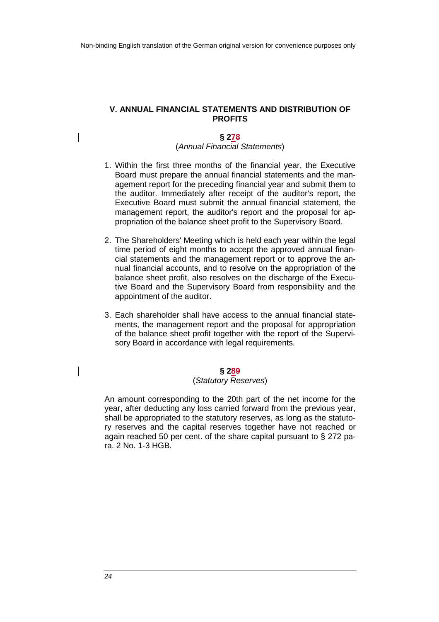### **V. ANNUAL FINANCIAL STATEMENTS AND DISTRIBUTION OF PROFITS**

#### **§ 278**

### (Annual Financial Statements)

- 1. Within the first three months of the financial year, the Executive Board must prepare the annual financial statements and the management report for the preceding financial year and submit them to the auditor. Immediately after receipt of the auditor's report, the Executive Board must submit the annual financial statement, the management report, the auditor's report and the proposal for appropriation of the balance sheet profit to the Supervisory Board.
- 2. The Shareholders' Meeting which is held each year within the legal time period of eight months to accept the approved annual financial statements and the management report or to approve the annual financial accounts, and to resolve on the appropriation of the balance sheet profit, also resolves on the discharge of the Executive Board and the Supervisory Board from responsibility and the appointment of the auditor.
- 3. Each shareholder shall have access to the annual financial statements, the management report and the proposal for appropriation of the balance sheet profit together with the report of the Supervisory Board in accordance with legal requirements.

#### **§ 289**

#### (Statutory Reserves)

An amount corresponding to the 20th part of the net income for the year, after deducting any loss carried forward from the previous year, shall be appropriated to the statutory reserves, as long as the statutory reserves and the capital reserves together have not reached or again reached 50 per cent. of the share capital pursuant to § 272 para. 2 No. 1-3 HGB.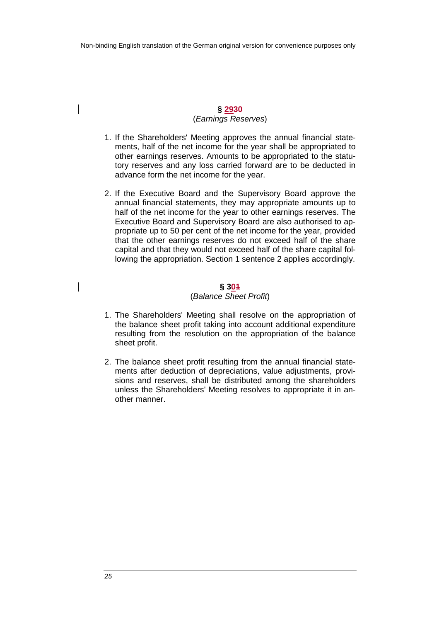### **§ 2930** (Earnings Reserves)

- 1. If the Shareholders' Meeting approves the annual financial statements, half of the net income for the year shall be appropriated to other earnings reserves. Amounts to be appropriated to the statutory reserves and any loss carried forward are to be deducted in advance form the net income for the year.
- 2. If the Executive Board and the Supervisory Board approve the annual financial statements, they may appropriate amounts up to half of the net income for the year to other earnings reserves. The Executive Board and Supervisory Board are also authorised to appropriate up to 50 per cent of the net income for the year, provided that the other earnings reserves do not exceed half of the share capital and that they would not exceed half of the share capital following the appropriation. Section 1 sentence 2 applies accordingly.

### **§ 301**

#### (Balance Sheet Profit)

- 1. The Shareholders' Meeting shall resolve on the appropriation of the balance sheet profit taking into account additional expenditure resulting from the resolution on the appropriation of the balance sheet profit.
- 2. The balance sheet profit resulting from the annual financial statements after deduction of depreciations, value adjustments, provisions and reserves, shall be distributed among the shareholders unless the Shareholders' Meeting resolves to appropriate it in another manner.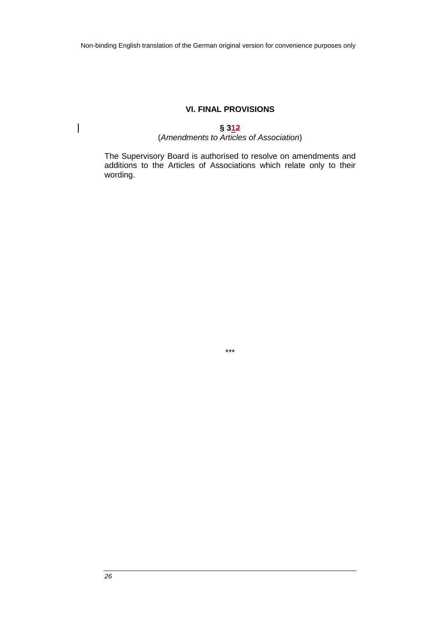# **VI. FINAL PROVISIONS**

# **§ 312**

# (Amendments to Articles of Association)

The Supervisory Board is authorised to resolve on amendments and additions to the Articles of Associations which relate only to their wording.



 $\overline{\phantom{a}}$